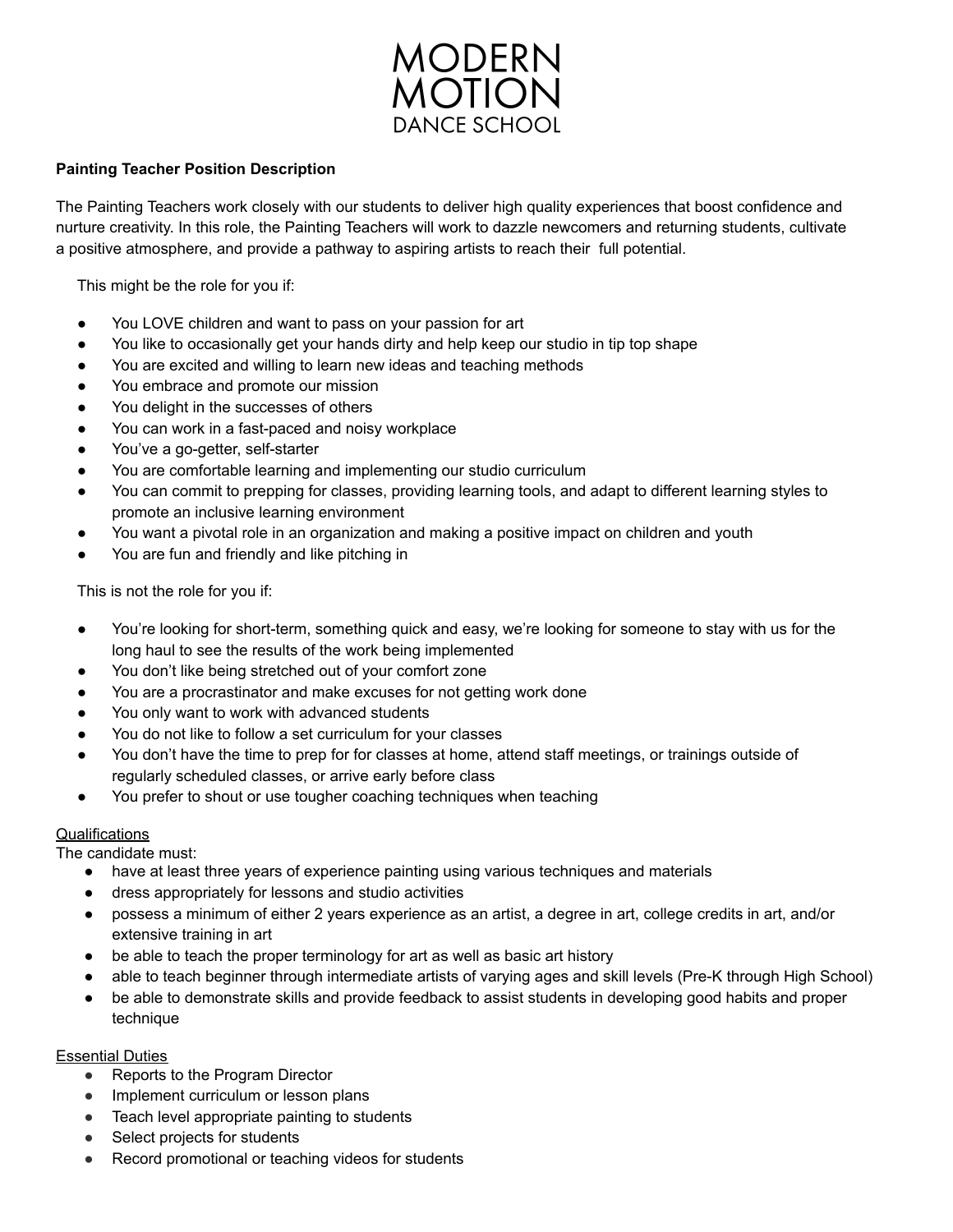

## **Painting Teacher Position Description**

The Painting Teachers work closely with our students to deliver high quality experiences that boost confidence and nurture creativity. In this role, the Painting Teachers will work to dazzle newcomers and returning students, cultivate a positive atmosphere, and provide a pathway to aspiring artists to reach their full potential.

This might be the role for you if:

- You LOVE children and want to pass on your passion for art
- You like to occasionally get your hands dirty and help keep our studio in tip top shape
- You are excited and willing to learn new ideas and teaching methods
- You embrace and promote our mission
- You delight in the successes of others
- You can work in a fast-paced and noisy workplace
- You've a go-getter, self-starter
- You are comfortable learning and implementing our studio curriculum
- You can commit to prepping for classes, providing learning tools, and adapt to different learning styles to promote an inclusive learning environment
- You want a pivotal role in an organization and making a positive impact on children and youth
- You are fun and friendly and like pitching in

This is not the role for you if:

- You're looking for short-term, something quick and easy, we're looking for someone to stay with us for the long haul to see the results of the work being implemented
- You don't like being stretched out of your comfort zone
- You are a procrastinator and make excuses for not getting work done
- You only want to work with advanced students
- You do not like to follow a set curriculum for your classes
- You don't have the time to prep for for classes at home, attend staff meetings, or trainings outside of regularly scheduled classes, or arrive early before class
- You prefer to shout or use tougher coaching techniques when teaching

## **Qualifications**

The candidate must:

- have at least three years of experience painting using various techniques and materials
- dress appropriately for lessons and studio activities
- possess a minimum of either 2 years experience as an artist, a degree in art, college credits in art, and/or extensive training in art
- be able to teach the proper terminology for art as well as basic art history
- able to teach beginner through intermediate artists of varying ages and skill levels (Pre-K through High School)
- be able to demonstrate skills and provide feedback to assist students in developing good habits and proper technique

## Essential Duties

- Reports to the Program Director
- Implement curriculum or lesson plans
- Teach level appropriate painting to students
- Select projects for students
- Record promotional or teaching videos for students